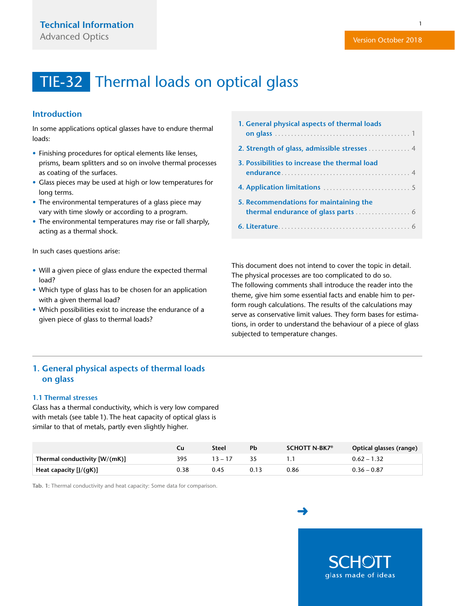### <span id="page-0-0"></span>**Introduction**

In some applications optical glasses have to endure thermal loads:

- Finishing procedures for optical elements like lenses, prisms, beam splitters and so on involve thermal processes as coating of the surfaces.
- Glass pieces may be used at high or low temperatures for long terms.
- The environmental temperatures of a glass piece may vary with time slowly or according to a program.
- The environmental temperatures may rise or fall sharply, acting as a thermal shock.

In such cases questions arise:

- Will a given piece of glass endure the expected thermal load?
- Which type of glass has to be chosen for an application with a given thermal load?
- Which possibilities exist to increase the endurance of a given piece of glass to thermal loads?

| 1. General physical aspects of thermal loads  |
|-----------------------------------------------|
|                                               |
| 3. Possibilities to increase the thermal load |
|                                               |
| 5. Recommendations for maintaining the        |
|                                               |

This document does not intend to cover the topic in detail. The physical processes are too complicated to do so. The following comments shall introduce the reader into the theme, give him some essential facts and enable him to perform rough calculations. The results of the calculations may serve as conservative limit values. They form bases for estimations, in order to understand the behaviour of a piece of glass subjected to temperature changes.

## **1. General physical aspects of thermal loads on glass**

#### **1.1 Thermal stresses**

Glass has a thermal conductivity, which is very low compared with metals (see table 1). The heat capacity of optical glass is similar to that of metals, partly even slightly higher.

|                               | Сu   | Steel     | Ph   | SCHOTT N-BK7 <sup>®</sup> | Optical glasses (range) |
|-------------------------------|------|-----------|------|---------------------------|-------------------------|
| Thermal conductivity [W/(mK)] | 395  | $13 - 17$ |      |                           | $0.62 - 1.32$           |
| Heat capacity $[J/(gK)]$      | 0.38 | 0.45      | 0.13 | 0.86                      | $0.36 - 0.87$           |

**Tab. 1:** Thermal conductivity and heat capacity: Some data for comparison.

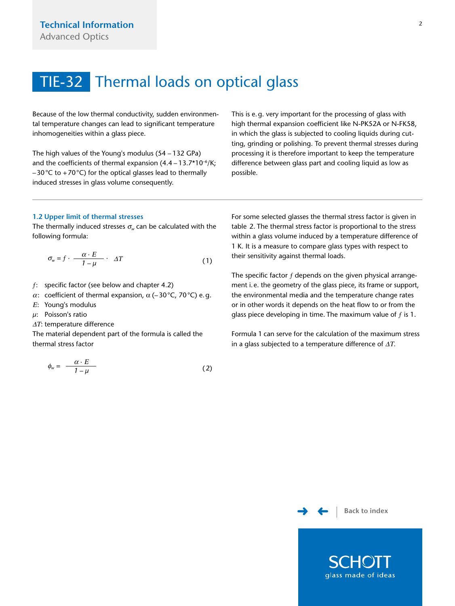<span id="page-1-0"></span>Because of the low thermal conductivity, sudden environmental temperature changes can lead to significant temperature inhomogeneities within a glass piece.

The high values of the Young's modulus (54 – 132 GPa) and the coefficients of thermal expansion  $(4.4 - 13.7 * 10^{-6} / K;$  $-30$  °C to  $+70$  °C) for the optical glasses lead to thermally induced stresses in glass volume consequently.

This is e.g. very important for the processing of glass with high thermal expansion coefficient like N-PK52A or N-FK58, in which the glass is subjected to cooling liquids during cutting, grinding or polishing. To prevent thermal stresses during processing it is therefore important to keep the temperature difference between glass part and cooling liquid as low as possible.

#### **1.2 Upper limit of thermal stresses**

The thermally induced stresses  $\sigma_w$  can be calculated with the following formula:

$$
\sigma_{w} = f \cdot \frac{\alpha \cdot E}{1 - \mu} \cdot \Delta T \tag{1}
$$

- $f$ : specific factor (see below and chapter 4.2)
- α: coefficient of thermal expansion,  $\alpha$  (-30 °C, 70 °C) e.g.
- <sup>Ε</sup>: Young's modulus
- *μ*: Poisson's ratio
- ΔΤ: temperature difference

The material dependent part of the formula is called the thermal stress factor

$$
\phi_w = \frac{\alpha \cdot E}{1 - \mu} \tag{2}
$$

For some selected glasses the thermal stress factor is given in table 2. The thermal stress factor is proportional to the stress within a glass volume induced by a temperature difference of 1 K. It is a measure to compare glass types with respect to their sensitivity against thermal loads.

The specific factor  $f$  depends on the given physical arrangement i.e. the geometry of the glass piece, its frame or support, the environmental media and the temperature change rates or in other words it depends on the heat flow to or from the glass piece developing in time. The maximum value of  $f$  is 1.

Formula 1 can serve for the calculation of the maximum stress in a glass subjected to a temperature difference of  $\Delta T$ .



glass made of ideas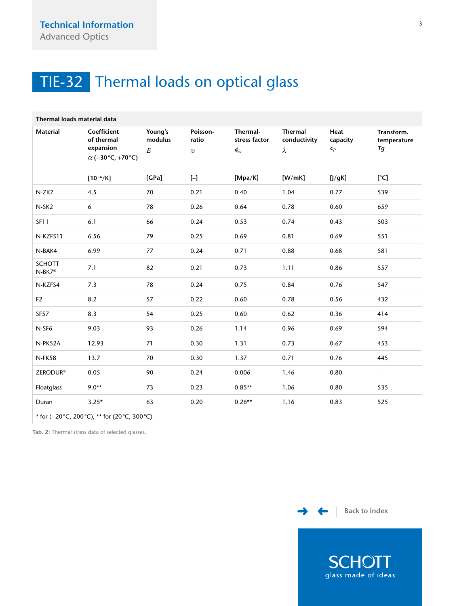<span id="page-2-0"></span>

| Thermal loads material data                    |                                                                   |                                |                                 |                                                            |                                             |                                         |                                 |  |  |  |  |
|------------------------------------------------|-------------------------------------------------------------------|--------------------------------|---------------------------------|------------------------------------------------------------|---------------------------------------------|-----------------------------------------|---------------------------------|--|--|--|--|
| <b>Material</b>                                | Coefficient<br>of thermal<br>expansion<br>$\alpha$ (-30°C, +70°C) | Young's<br>modulus<br>$\cal E$ | Poisson-<br>ratio<br>$\upsilon$ | Thermal-<br>stress factor<br>$\phi_{\scriptscriptstyle W}$ | <b>Thermal</b><br>conductivity<br>$\lambda$ | Heat<br>capacity<br>$\pmb{\varsigma}_p$ | Transform.<br>temperature<br>Tg |  |  |  |  |
|                                                | $[10^{-6}/K]$                                                     | [GPa]                          | $[ - ]$                         | [Mpa/K]                                                    | [W/mK]                                      | [J/gK]                                  | [°C]                            |  |  |  |  |
| N-ZK7                                          | 4.5                                                               | 70                             | 0.21                            | 0.40                                                       | 1.04                                        | 0.77                                    | 539                             |  |  |  |  |
| N-SK <sub>2</sub>                              | 6                                                                 | 78                             | 0.26                            | 0.64                                                       | 0.78                                        | 0.60                                    | 659                             |  |  |  |  |
| <b>SF11</b>                                    | 6.1                                                               | 66                             | 0.24                            | 0.53                                                       | 0.74                                        | 0.43                                    | 503                             |  |  |  |  |
| N-KZFS11                                       | 6.56                                                              | 79                             | 0.25                            | 0.69                                                       | 0.81                                        | 0.69                                    | 551                             |  |  |  |  |
| N-BAK4                                         | 6.99                                                              | 77                             | 0.24                            | 0.71                                                       | 0.88                                        | 0.68                                    | 581                             |  |  |  |  |
| <b>SCHOTT</b><br>N-BK7 <sup>®</sup>            | 7.1                                                               | 82                             | 0.21                            | 0.73                                                       | 1.11                                        | 0.86                                    | 557                             |  |  |  |  |
| N-KZFS4                                        | 7.3                                                               | 78                             | 0.24                            | 0.75                                                       | 0.84                                        | 0.76                                    | 547                             |  |  |  |  |
| F2                                             | 8.2                                                               | 57                             | 0.22                            | 0.60                                                       | 0.78                                        | 0.56                                    | 432                             |  |  |  |  |
| <b>SF57</b>                                    | 8.3                                                               | 54                             | 0.25                            | 0.60                                                       | 0.62                                        | 0.36                                    | 414                             |  |  |  |  |
| N-SF6                                          | 9.03                                                              | 93                             | 0.26                            | 1.14                                                       | 0.96                                        | 0.69                                    | 594                             |  |  |  |  |
| N-PK52A                                        | 12.93                                                             | 71                             | 0.30                            | 1.31                                                       | 0.73                                        | 0.67                                    | 453                             |  |  |  |  |
| N-FK58                                         | 13.7                                                              | 70                             | 0.30                            | 1.37                                                       | 0.71                                        | 0.76                                    | 445                             |  |  |  |  |
| <b>ZERODUR®</b>                                | 0.05                                                              | 90                             | 0.24                            | 0.006                                                      | 1.46                                        | 0.80                                    | $\overline{\phantom{a}}$        |  |  |  |  |
| Floatglass                                     | $9.0**$                                                           | 73                             | 0.23                            | $0.85**$                                                   | 1.06                                        | 0.80                                    | 535                             |  |  |  |  |
| Duran                                          | $3.25*$                                                           | 63                             | 0.20                            | $0.26**$                                                   | 1.16                                        | 0.83                                    | 525                             |  |  |  |  |
| * for (-20 °C, 200 °C), ** for (20 °C, 300 °C) |                                                                   |                                |                                 |                                                            |                                             |                                         |                                 |  |  |  |  |

**Tab. 2:** Thermal stress data of selected glasses.





**SCHOTT** glass made of ideas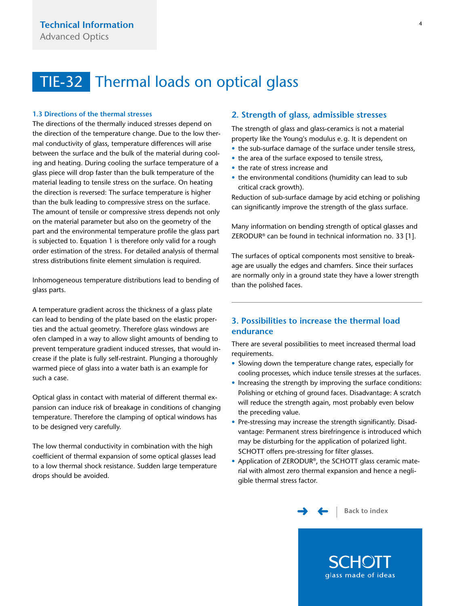#### <span id="page-3-0"></span>**1.3 Directions of the thermal stresses**

The directions of the thermally induced stresses depend on the direction of the temperature change. Due to the low thermal conductivity of glass, temperature differences will arise between the surface and the bulk of the material during cooling and heating. During cooling the surface temperature of a glass piece will drop faster than the bulk temperature of the material leading to tensile stress on the surface. On heating the direction is reversed: The surface temperature is higher than the bulk leading to compressive stress on the surface. The amount of tensile or compressive stress depends not only on the material parameter but also on the geometry of the part and the environmental temperature profile the glass part is subjected to. Equation 1 is therefore only valid for a rough order estimation of the stress. For detailed analysis of thermal stress distributions finite element simulation is required.

Inhomogeneous temperature distributions lead to bending of glass parts.

A temperature gradient across the thickness of a glass plate can lead to bending of the plate based on the elastic properties and the actual geometry. Therefore glass windows are ofen clamped in a way to allow slight amounts of bending to prevent temperature gradient induced stresses, that would increase if the plate is fully self-restraint. Plunging a thoroughly warmed piece of glass into a water bath is an example for such a case.

Optical glass in contact with material of different thermal expansion can induce risk of breakage in conditions of changing temperature. Therefore the clamping of optical windows has to be designed very carefully.

The low thermal conductivity in combination with the high coefficient of thermal expansion of some optical glasses lead to a low thermal shock resistance. Sudden large temperature drops should be avoided.

#### **2. Strength of glass, admissible stresses**

The strength of glass and glass-ceramics is not a material property like the Young's modulus e.g. It is dependent on

- the sub-surface damage of the surface under tensile stress,
- the area of the surface exposed to tensile stress,
- the rate of stress increase and
- the environmental conditions (humidity can lead to sub critical crack growth).

Reduction of sub-surface damage by acid etching or polishing can significantly improve the strength of the glass surface.

Many information on bending strength of optical glasses and ZERODUR® can be found in technical information no. 33 [1].

The surfaces of optical components most sensitive to breakage are usually the edges and chamfers. Since their surfaces are normally only in a ground state they have a lower strength than the polished faces.

## **3. Possibilities to increase the thermal load endurance**

There are several possibilities to meet increased thermal load requirements.

- Slowing down the temperature change rates, especially for cooling processes, which induce tensile stresses at the surfaces.
- Increasing the strength by improving the surface conditions: Polishing or etching of ground faces. Disadvantage: A scratch will reduce the strength again, most probably even below the preceding value.
- Pre-stressing may increase the strength significantly. Disadvantage: Permanent stress birefringence is introduced which may be disturbing for the application of polarized light. SCHOTT offers pre-stressing for filter glasses.
- Application of ZERODUR®, the SCHOTT glass ceramic material with almost zero thermal expansion and hence a negligible thermal stress factor.



**SCHOT** glass made of ideas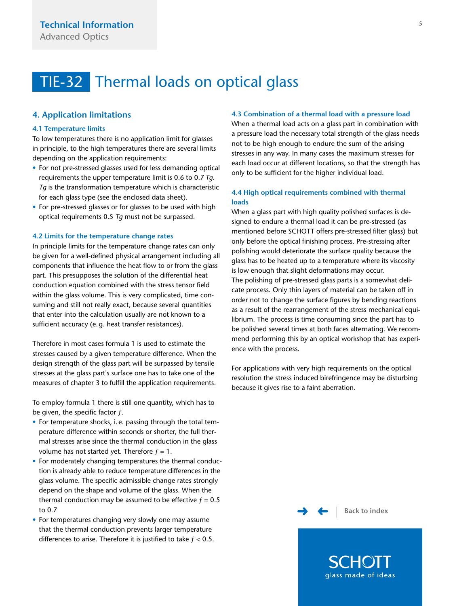### <span id="page-4-0"></span>**4. Application limitations**

#### **4.1 Temperature limits**

To low temperatures there is no application limit for glasses in principle, to the high temperatures there are several limits depending on the application requirements:

- For not pre-stressed glasses used for less demanding optical requirements the upper temperature limit is 0.6 to 0.7 *Tg*. *Tg* is the transformation temperature which is characteristic for each glass type (see the enclosed data sheet).
- For pre-stressed glasses or for glasses to be used with high optical requirements 0.5 *Tg* must not be surpassed.

#### **4.2 Limits for the temperature change rates**

In principle limits for the temperature change rates can only be given for a well-defined physical arrangement including all components that influence the heat flow to or from the glass part. This presupposes the solution of the differential heat conduction equation combined with the stress tensor field within the glass volume. This is very complicated, time consuming and still not really exact, because several quantities that enter into the calculation usually are not known to a sufficient accuracy (e.g. heat transfer resistances).

Therefore in most cases formula 1 is used to estimate the stresses caused by a given temperature difference. When the design strength of the glass part will be surpassed by tensile stresses at the glass part's surface one has to take one of the measures of chapter 3 to fulfill the application requirements.

To employ formula 1 there is still one quantity, which has to be given, the specific factor  $f$ .

- For temperature shocks, i.e. passing through the total temperature difference within seconds or shorter, the full thermal stresses arise since the thermal conduction in the glass volume has not started yet. Therefore  $f = 1$ .
- For moderately changing temperatures the thermal conduction is already able to reduce temperature differences in the glass volume. The specific admissible change rates strongly depend on the shape and volume of the glass. When the thermal conduction may be assumed to be effective  $f = 0.5$ to 0.7
- For temperatures changing very slowly one may assume that the thermal conduction prevents larger temperature differences to arise. Therefore it is justified to take  $f < 0.5$ .

#### **4.3 Combination of a thermal load with a pressure load**

When a thermal load acts on a glass part in combination with a pressure load the necessary total strength of the glass needs not to be high enough to endure the sum of the arising stresses in any way. In many cases the maximum stresses for each load occur at different locations, so that the strength has only to be sufficient for the higher individual load.

### **4.4 High optical requirements combined with thermal loads**

When a glass part with high quality polished surfaces is designed to endure a thermal load it can be pre-stressed (as mentioned before SCHOTT offers pre-stressed filter glass) but only before the optical finishing process. Pre-stressing after polishing would deteriorate the surface quality because the glass has to be heated up to a temperature where its viscosity is low enough that slight deformations may occur. The polishing of pre-stressed glass parts is a somewhat delicate process. Only thin layers of material can be taken off in order not to change the surface figures by bending reactions as a result of the rearrangement of the stress mechanical equilibrium. The process is time consuming since the part has to be polished several times at both faces alternating. We recommend performing this by an optical workshop that has experience with the process.

For applications with very high requirements on the optical resolution the stress induced birefringence may be disturbing because it gives rise to a faint aberration.

> [➜](#page-5-0) [➜](#page-3-0) **[Back to index](#page-0-0)**

> > SCHOI glass made of ideas